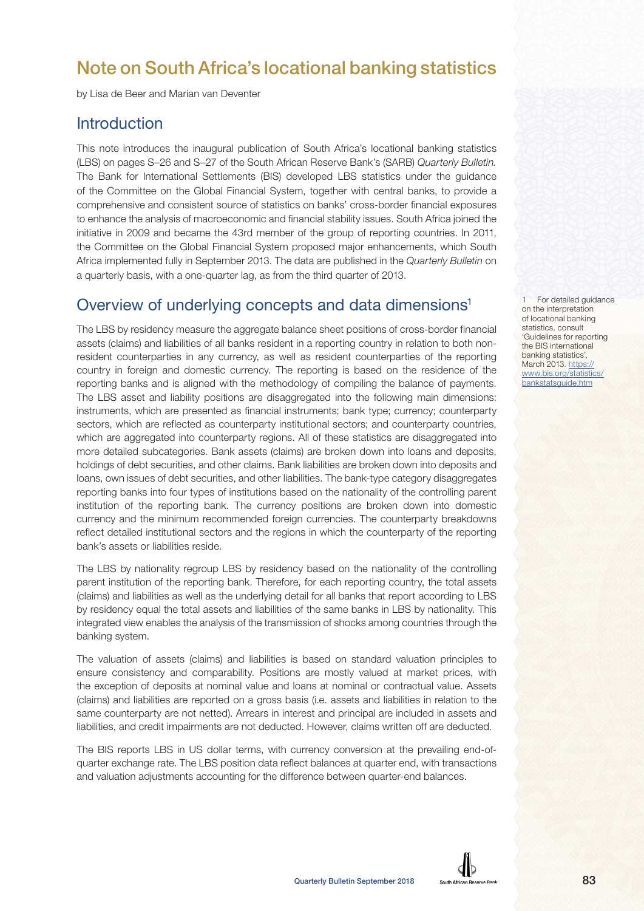# Note on South Africa's locational banking statistics

by Lisa de Beer and Marian van Deventer

#### **Introduction**

This note introduces the inaugural publication of South Africa's locational banking statistics (LBS) on pages S–26 and S–27 of the South African Reserve Bank's (SARB) Quarterly Bulletin. The Bank for International Settlements (BIS) developed LBS statistics under the guidance of the Committee on the Global Financial System, together with central banks, to provide a comprehensive and consistent source of statistics on banks' cross-border financial exposures to enhance the analysis of macroeconomic and financial stability issues. South Africa joined the initiative in 2009 and became the 43rd member of the group of reporting countries. In 2011, the Committee on the Global Financial System proposed major enhancements, which South Africa implemented fully in September 2013. The data are published in the Quarterly Bulletin on a quarterly basis, with a one-quarter lag, as from the third quarter of 2013.

### Overview of underlying concepts and data dimensions<sup>1</sup>

The LBS by residency measure the aggregate balance sheet positions of cross-border financial assets (claims) and liabilities of all banks resident in a reporting country in relation to both nonresident counterparties in any currency, as well as resident counterparties of the reporting country in foreign and domestic currency. The reporting is based on the residence of the reporting banks and is aligned with the methodology of compiling the balance of payments. The LBS asset and liability positions are disaggregated into the following main dimensions: instruments, which are presented as financial instruments; bank type; currency; counterparty sectors, which are reflected as counterparty institutional sectors; and counterparty countries, which are aggregated into counterparty regions. All of these statistics are disaggregated into more detailed subcategories. Bank assets (claims) are broken down into loans and deposits, holdings of debt securities, and other claims. Bank liabilities are broken down into deposits and loans, own issues of debt securities, and other liabilities. The bank-type category disaggregates reporting banks into four types of institutions based on the nationality of the controlling parent institution of the reporting bank. The currency positions are broken down into domestic currency and the minimum recommended foreign currencies. The counterparty breakdowns reflect detailed institutional sectors and the regions in which the counterparty of the reporting bank's assets or liabilities reside.

The LBS by nationality regroup LBS by residency based on the nationality of the controlling parent institution of the reporting bank. Therefore, for each reporting country, the total assets (claims) and liabilities as well as the underlying detail for all banks that report according to LBS by residency equal the total assets and liabilities of the same banks in LBS by nationality. This integrated view enables the analysis of the transmission of shocks among countries through the banking system.

The valuation of assets (claims) and liabilities is based on standard valuation principles to ensure consistency and comparability. Positions are mostly valued at market prices, with the exception of deposits at nominal value and loans at nominal or contractual value. Assets (claims) and liabilities are reported on a gross basis (i.e. assets and liabilities in relation to the same counterparty are not netted). Arrears in interest and principal are included in assets and liabilities, and credit impairments are not deducted. However, claims written off are deducted.

The BIS reports LBS in US dollar terms, with currency conversion at the prevailing end-ofquarter exchange rate. The LBS position data reflect balances at quarter end, with transactions and valuation adjustments accounting for the difference between quarter-end balances.

For detailed guidance on the interpretation of locational banking statistics, consult 'Guidelines for reporting the BIS international banking statistics', March 2013. [https://](https://www.bis.org/statistics/bankstatsguide.htm) [www.bis.org/statistics/](https://www.bis.org/statistics/bankstatsguide.htm) [bankstatsguide.htm](https://www.bis.org/statistics/bankstatsguide.htm)

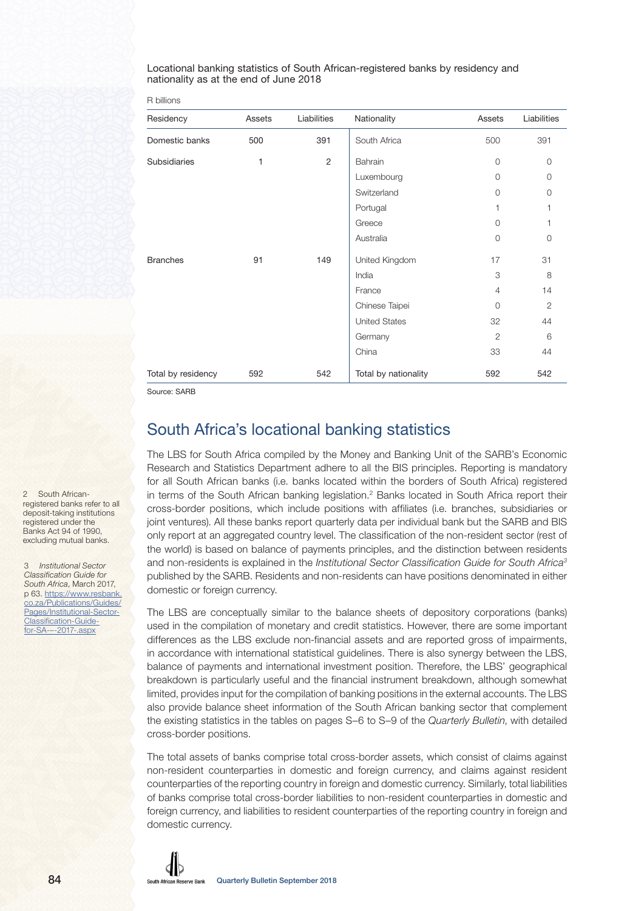Locational banking statistics of South African-registered banks by residency and nationality as at the end of June 2018

|  | R billions |  |
|--|------------|--|
|  |            |  |

| Residency          | Assets | Liabilities    | Nationality          | Assets         | Liabilities    |
|--------------------|--------|----------------|----------------------|----------------|----------------|
| Domestic banks     | 500    | 391            | South Africa         | 500            | 391            |
| Subsidiaries       | 1      | $\overline{2}$ | Bahrain              | $\Omega$       | $\Omega$       |
|                    |        |                | Luxembourg           | $\Omega$       | $\Omega$       |
|                    |        |                | Switzerland          | $\Omega$       | $\Omega$       |
|                    |        |                | Portugal             | 1              | 1              |
|                    |        |                | Greece               | $\Omega$       | 1              |
|                    |        |                | Australia            | $\circ$        | $\Omega$       |
| <b>Branches</b>    | 91     | 149            | United Kingdom       | 17             | 31             |
|                    |        |                | India                | 3              | 8              |
|                    |        |                | France               | $\overline{4}$ | 14             |
|                    |        |                | Chinese Taipei       | $\Omega$       | $\overline{2}$ |
|                    |        |                | <b>United States</b> | 32             | 44             |
|                    |        |                | Germany              | $\overline{2}$ | 6              |
|                    |        |                | China                | 33             | 44             |
| Total by residency | 592    | 542            | Total by nationality | 592            | 542            |

Source: SARB

### South Africa's locational banking statistics

The LBS for South Africa compiled by the Money and Banking Unit of the SARB's Economic Research and Statistics Department adhere to all the BIS principles. Reporting is mandatory for all South African banks (i.e. banks located within the borders of South Africa) registered in terms of the South African banking legislation.<sup>2</sup> Banks located in South Africa report their cross-border positions, which include positions with affiliates (i.e. branches, subsidiaries or joint ventures). All these banks report quarterly data per individual bank but the SARB and BIS only report at an aggregated country level. The classification of the non-resident sector (rest of the world) is based on balance of payments principles, and the distinction between residents and non-residents is explained in the Institutional Sector Classification Guide for South Africa3 published by the SARB. Residents and non-residents can have positions denominated in either domestic or foreign currency.

The LBS are conceptually similar to the balance sheets of depository corporations (banks) used in the compilation of monetary and credit statistics. However, there are some important differences as the LBS exclude non-financial assets and are reported gross of impairments, in accordance with international statistical guidelines. There is also synergy between the LBS, balance of payments and international investment position. Therefore, the LBS' geographical breakdown is particularly useful and the financial instrument breakdown, although somewhat limited, provides input for the compilation of banking positions in the external accounts. The LBS also provide balance sheet information of the South African banking sector that complement the existing statistics in the tables on pages S–6 to S–9 of the Quarterly Bulletin, with detailed cross-border positions.

The total assets of banks comprise total cross-border assets, which consist of claims against non-resident counterparties in domestic and foreign currency, and claims against resident counterparties of the reporting country in foreign and domestic currency. Similarly, total liabilities of banks comprise total cross-border liabilities to non-resident counterparties in domestic and foreign currency, and liabilities to resident counterparties of the reporting country in foreign and domestic currency.

2 South Africanregistered banks refer to all deposit-taking institutions registered under the Banks Act 94 of 1990, excluding mutual banks.

3 Institutional Sector Classification Guide for South Africa, March 2017. [p 63. https://www.resbank.](https://www.resbank.co.za/Publications/Guides/Pages/Institutional-Sector-Classification-Guide-for-SA-–-2017-.aspx) co.za/Publications/Guides/ Pages/Institutional-Sector-Classification-Guidefor-SA-–-2017-.aspx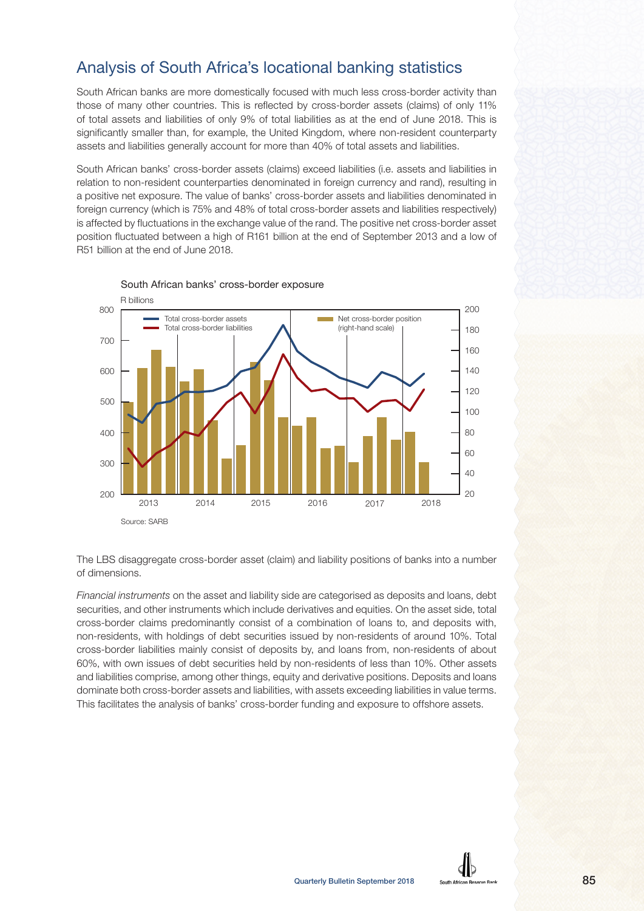## Analysis of South Africa's locational banking statistics

South African banks are more domestically focused with much less cross-border activity than those of many other countries. This is reflected by cross-border assets (claims) of only 11% of total assets and liabilities of only 9% of total liabilities as at the end of June 2018. This is significantly smaller than, for example, the United Kingdom, where non-resident counterparty assets and liabilities generally account for more than 40% of total assets and liabilities.

South African banks' cross-border assets (claims) exceed liabilities (i.e. assets and liabilities in relation to non-resident counterparties denominated in foreign currency and rand), resulting in a positive net exposure. The value of banks' cross-border assets and liabilities denominated in foreign currency (which is 75% and 48% of total cross-border assets and liabilities respectively) is affected by fluctuations in the exchange value of the rand. The positive net cross-border asset position fluctuated between a high of R161 billion at the end of September 2013 and a low of R51 billion at the end of June 2018.



South African banks' cross-border exposure

The LBS disaggregate cross-border asset (claim) and liability positions of banks into a number of dimensions.

Financial instruments on the asset and liability side are categorised as deposits and loans, debt securities, and other instruments which include derivatives and equities. On the asset side, total cross-border claims predominantly consist of a combination of loans to, and deposits with, non-residents, with holdings of debt securities issued by non-residents of around 10%. Total cross-border liabilities mainly consist of deposits by, and loans from, non-residents of about 60%, with own issues of debt securities held by non-residents of less than 10%. Other assets and liabilities comprise, among other things, equity and derivative positions. Deposits and loans dominate both cross-border assets and liabilities, with assets exceeding liabilities in value terms. This facilitates the analysis of banks' cross-border funding and exposure to offshore assets.

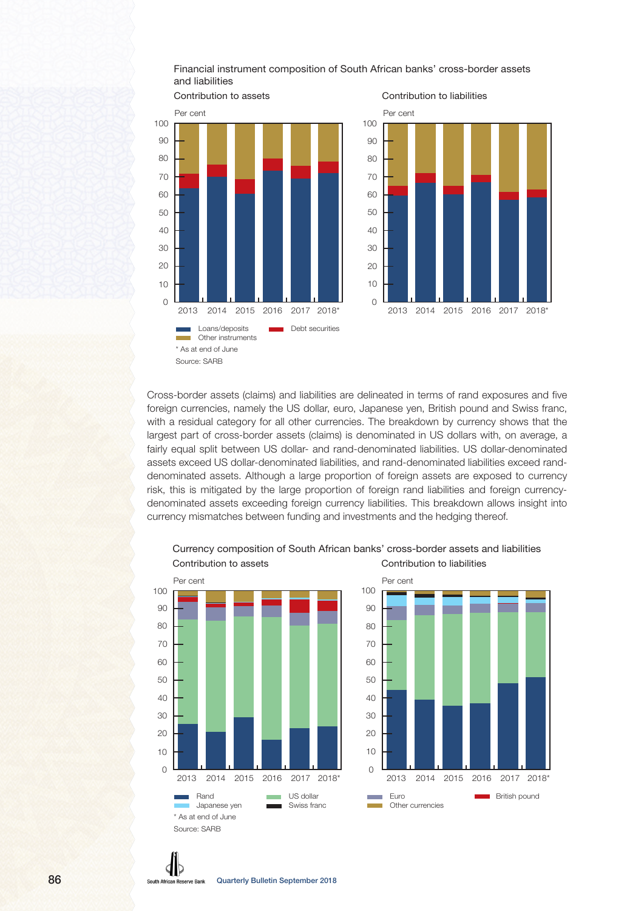Financial instrument composition of South African banks' cross-border assets and liabilities



Cross-border assets (claims) and liabilities are delineated in terms of rand exposures and five foreign currencies, namely the US dollar, euro, Japanese yen, British pound and Swiss franc, with a residual category for all other currencies. The breakdown by currency shows that the largest part of cross-border assets (claims) is denominated in US dollars with, on average, a fairly equal split between US dollar- and rand-denominated liabilities. US dollar-denominated assets exceed US dollar-denominated liabilities, and rand-denominated liabilities exceed randdenominated assets. Although a large proportion of foreign assets are exposed to currency risk, this is mitigated by the large proportion of foreign rand liabilities and foreign currencydenominated assets exceeding foreign currency liabilities. This breakdown allows insight into currency mismatches between funding and investments and the hedging thereof.



#### Currency composition of South African banks' cross-border assets and liabilities Contribution to assets Contribution to liabilities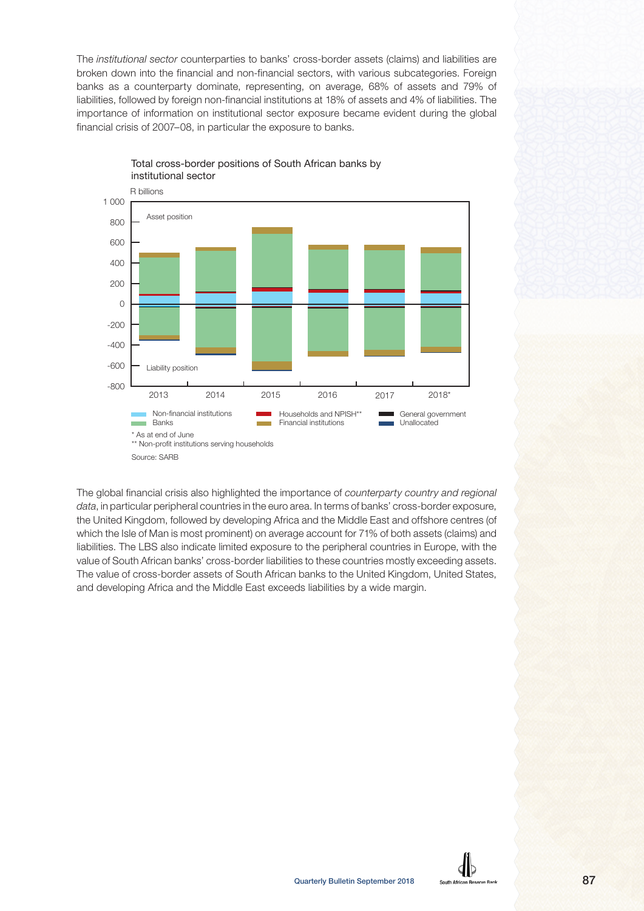The institutional sector counterparties to banks' cross-border assets (claims) and liabilities are broken down into the financial and non-financial sectors, with various subcategories. Foreign banks as a counterparty dominate, representing, on average, 68% of assets and 79% of liabilities, followed by foreign non-financial institutions at 18% of assets and 4% of liabilities. The importance of information on institutional sector exposure became evident during the global financial crisis of 2007–08, in particular the exposure to banks.



Total cross-border positions of South African banks by institutional sector

The global financial crisis also highlighted the importance of counterparty country and regional data, in particular peripheral countries in the euro area. In terms of banks' cross-border exposure, the United Kingdom, followed by developing Africa and the Middle East and offshore centres (of which the Isle of Man is most prominent) on average account for 71% of both assets (claims) and liabilities. The LBS also indicate limited exposure to the peripheral countries in Europe, with the value of South African banks' cross-border liabilities to these countries mostly exceeding assets. The value of cross-border assets of South African banks to the United Kingdom, United States, and developing Africa and the Middle East exceeds liabilities by a wide margin.

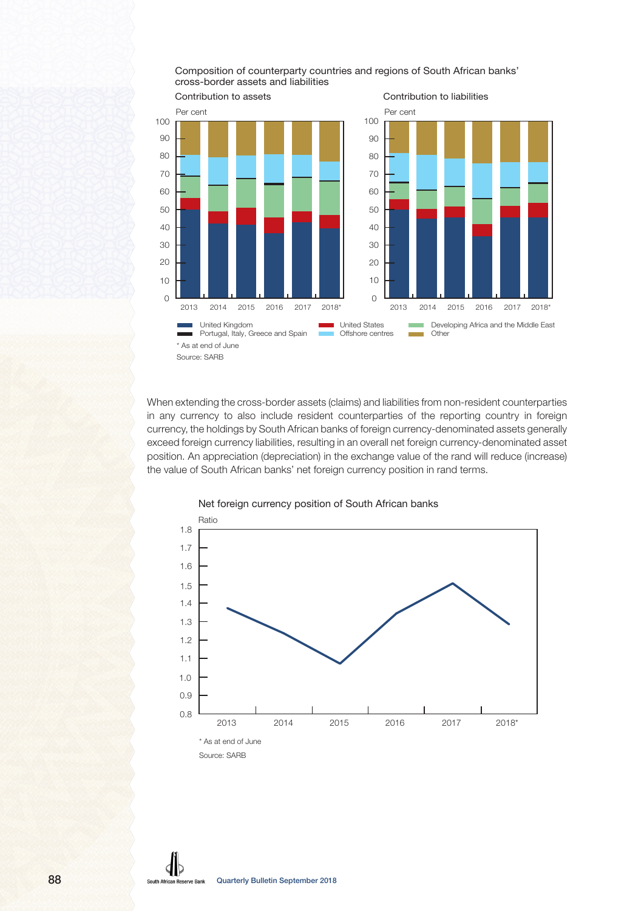Composition of counterparty countries and regions of South African banks' cross-border assets and liabilities



When extending the cross-border assets (claims) and liabilities from non-resident counterparties in any currency to also include resident counterparties of the reporting country in foreign currency, the holdings by South African banks of foreign currency-denominated assets generally exceed foreign currency liabilities, resulting in an overall net foreign currency-denominated asset position. An appreciation (depreciation) in the exchange value of the rand will reduce (increase) the value of South African banks' net foreign currency position in rand terms.



#### Net foreign currency position of South African banks